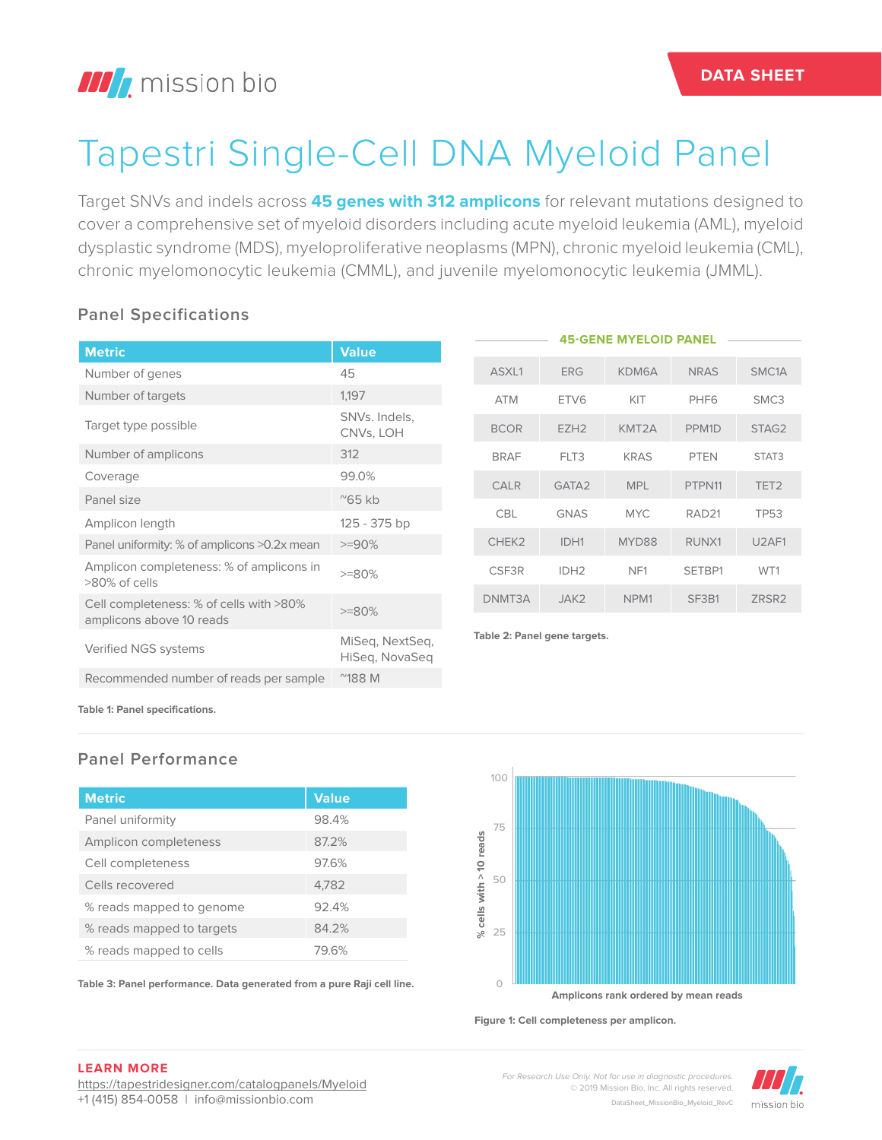## **III** mission bio

# Tapestri Single-Cell DNA Myeloid Panel

Target SNVs and indels across **45 genes with 312 amplicons** for relevant mutations designed to cover a comprehensive set of myeloid disorders including acute myeloid leukemia (AML), myeloid dysplastic syndrome (MDS), myeloproliferative neoplasms (MPN), chronic myeloid leukemia (CML), chronic myelomonocytic leukemia (CMML), and juvenile myelomonocytic leukemia (JMML).

#### **Panel Specifications**

|                                                                     |                                   |                              |             |                   | <b>45-GENE MYELOID PANEL</b> |                   |                                |
|---------------------------------------------------------------------|-----------------------------------|------------------------------|-------------|-------------------|------------------------------|-------------------|--------------------------------|
| <b>Metric</b>                                                       | <b>Value</b>                      |                              |             |                   |                              |                   |                                |
| Number of genes                                                     | 45                                |                              | ASXL1       | <b>ERG</b>        | KDM6A                        | <b>NRAS</b>       | SMC <sub>1</sub> A             |
| Number of targets                                                   | 1,197                             |                              | <b>ATM</b>  | ETV6              | KIT                          | PHF <sub>6</sub>  | SMC3                           |
| Target type possible                                                | SNVs. Indels,<br>CNVs, LOH        |                              | <b>BCOR</b> | EZH <sub>2</sub>  | KMT2A                        | PPM <sub>1D</sub> | STAG2                          |
| Number of amplicons                                                 | 312                               |                              | <b>BRAF</b> | FLT3              | <b>KRAS</b>                  | <b>PTEN</b>       | STAT3                          |
| Coverage                                                            | 99.0%                             |                              | <b>CALR</b> | GATA <sub>2</sub> | <b>MPL</b>                   | PTPN11            | TET <sub>2</sub>               |
| Panel size                                                          | $^{\prime\prime}$ 65 kb           |                              |             |                   |                              |                   |                                |
| Amplicon length                                                     | 125 - 375 bp                      |                              | <b>CBL</b>  | <b>GNAS</b>       | <b>MYC</b>                   | RAD <sub>21</sub> | <b>TP53</b>                    |
| Panel uniformity: % of amplicons >0.2x mean                         | $>=90%$                           |                              | CHEK2       | IDH1              | MYD88                        | RUNX1             | U <sub>2</sub> AF <sub>1</sub> |
| Amplicon completeness: % of amplicons in<br>>80% of cells           | $>=80%$                           |                              | CSF3R       | IDH <sub>2</sub>  | NF <sub>1</sub>              | SETBP1            | WT1                            |
| Cell completeness: % of cells with >80%<br>amplicons above 10 reads | $>=80%$                           |                              | DNMT3A      | JAK2              | NPM <sub>1</sub>             | SF3B1             | ZRSR2                          |
| Verified NGS systems                                                | MiSeq, NextSeq,<br>HiSeg, NovaSeg | Table 2: Panel gene targets. |             |                   |                              |                   |                                |
| Recommended number of reads per sample                              | $^{\prime\prime}$ 188 M           |                              |             |                   |                              |                   |                                |

**Table 1: Panel specifications.**

#### **Panel Performance**

| <b>Metric</b>             | <b>Value</b> |
|---------------------------|--------------|
| Panel uniformity          | 98.4%        |
| Amplicon completeness     | 87.2%        |
| Cell completeness         | 97.6%        |
| Cells recovered           | 4,782        |
| % reads mapped to genome  | 92.4%        |
| % reads mapped to targets | 84.2%        |
| % reads mapped to cells   | 79.6%        |

**Table 3: Panel performance. Data generated from a pure Raji cell line.**



**Figure 1: Cell completeness per amplicon.**

**DATA SHEET**

**LEARN MORE**

https://tapestridesigner.com/catalogpanels/Myeloid +1 (415) 854-0058 | info@missionbio.com

*For Research Use Only. Not for use in diagnostic procedures.* © 2019 Mission Bio, Inc. All rights reserved. DataSheet\_MissionBio\_Myeloid\_RevC

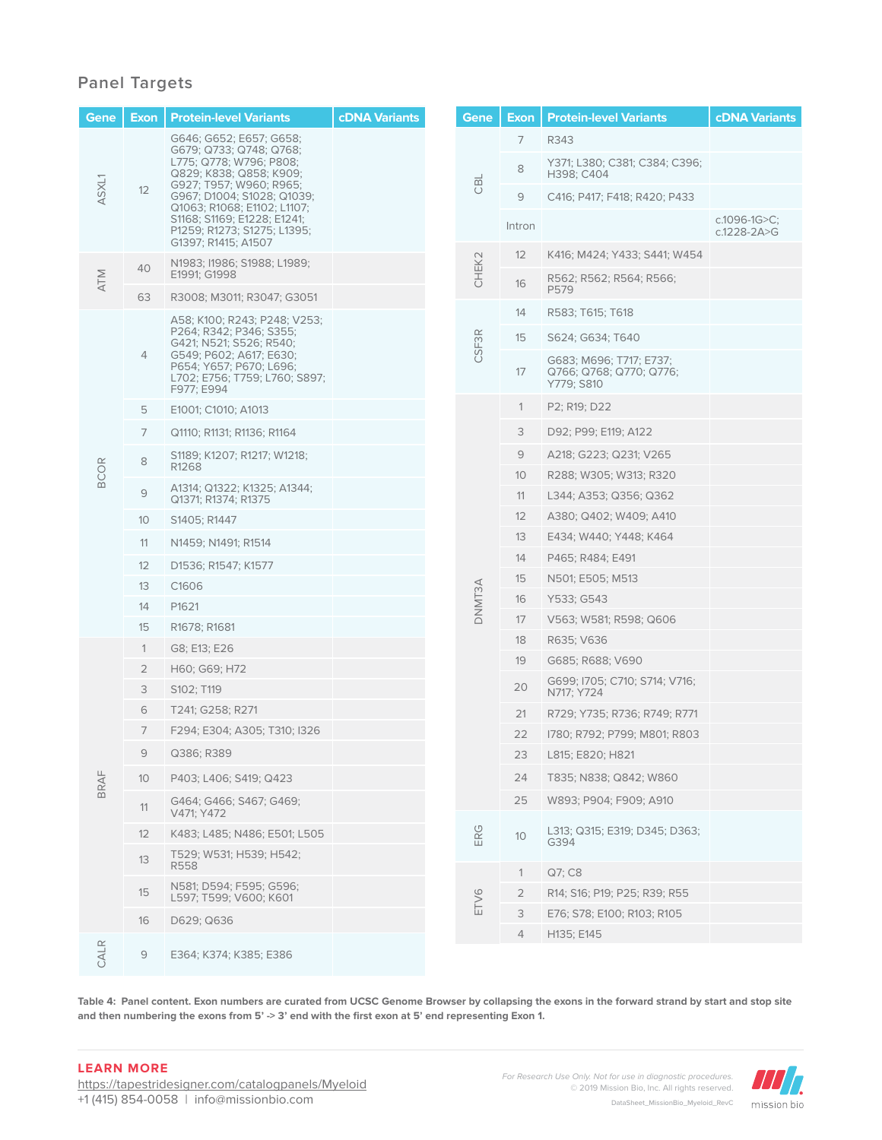#### **Panel Targets**

| Gene        | <b>Exon</b>     | <b>Protein-level Variants</b>                                                                     | <b>cDNA Variants</b> | Gene   | <b>Exon</b>     | <b>Protein-level Variants</b>                                    | <b>cDNA Variants</b>                  |
|-------------|-----------------|---------------------------------------------------------------------------------------------------|----------------------|--------|-----------------|------------------------------------------------------------------|---------------------------------------|
|             |                 | G646; G652; E657; G658;<br>G679; Q733; Q748; Q768;                                                |                      |        | 7               | R343                                                             |                                       |
|             | 12              | L775; Q778; W796; P808;<br>Q829; K838; Q858; K909;<br>G927; T957; W960; R965;                     |                      | CBL    | 8               | Y371; L380; C381; C384; C396;<br>H398; C404                      |                                       |
| ASXL1       |                 | G967; D1004; S1028; Q1039;<br>Q1063; R1068; E1102; L1107;                                         |                      |        | 9               | C416; P417; F418; R420; P433                                     |                                       |
|             |                 | S1168; S1169; E1228; E1241;<br>P1259; R1273; S1275; L1395;<br>G1397; R1415; A1507                 |                      |        | Intron          |                                                                  | c.1096-1G $>C$ ;<br>$c.1228 - 2A > G$ |
| <b>ATM</b>  | 40              | N1983; I1986; S1988; L1989;                                                                       |                      | CHEK2  | 12              | K416; M424; Y433; S441; W454                                     |                                       |
|             |                 | E1991: G1998                                                                                      |                      |        | 16              | R562; R562; R564; R566;<br>P579                                  |                                       |
|             | 63              | R3008; M3011; R3047; G3051                                                                        |                      |        | 14              | R583; T615; T618                                                 |                                       |
|             |                 | A58; K100; R243; P248; V253;<br>P264; R342; P346; S355;<br>G421; N521; S526; R540;                |                      | CSF3R  | 15              | S624; G634; T640                                                 |                                       |
|             | $\overline{4}$  | G549; P602; A617; E630;<br>P654; Y657; P670; L696;<br>L702; E756; T759; L760; S897;<br>F977; E994 |                      |        | 17              | G683; M696; T717; E737;<br>Q766; Q768; Q770; Q776;<br>Y779; S810 |                                       |
|             | 5               | E1001; C1010; A1013                                                                               |                      |        | $\mathbf{1}$    | P2; R19; D22                                                     |                                       |
|             | 7               | Q1110; R1131; R1136; R1164                                                                        |                      |        | 3               | D92; P99; E119; A122                                             |                                       |
|             | 8               | S1189; K1207; R1217; W1218;                                                                       |                      |        | 9               | A218; G223; Q231; V265                                           |                                       |
| <b>BCOR</b> |                 | R1268                                                                                             |                      |        | 10 <sup>°</sup> | R288; W305; W313; R320                                           |                                       |
|             | 9               | A1314; Q1322; K1325; A1344;<br>Q1371; R1374; R1375                                                |                      |        | 11              | L344; A353; Q356; Q362                                           |                                       |
|             | 10 <sup>°</sup> | S1405; R1447                                                                                      |                      |        | 12              | A380; Q402; W409; A410                                           |                                       |
|             | 11              | N1459; N1491; R1514                                                                               |                      | DNMT3A | 13              | E434; W440; Y448; K464                                           |                                       |
|             | 12              | D1536; R1547; K1577                                                                               |                      |        | 14              | P465; R484; E491                                                 |                                       |
|             | 13              | C1606                                                                                             |                      |        | 15              | N501; E505; M513                                                 |                                       |
|             | 14              | P1621                                                                                             |                      |        | 16              | Y533; G543                                                       |                                       |
|             | 15              | R1678; R1681                                                                                      |                      |        | 17              | V563; W581; R598; Q606                                           |                                       |
|             | $\mathbf{1}$    | G8; E13; E26                                                                                      |                      |        | 18              | R635; V636                                                       |                                       |
|             | 2               | H60; G69; H72                                                                                     |                      |        | 19              | G685; R688; V690                                                 |                                       |
|             | 3               | S102; T119                                                                                        |                      |        | 20              | G699; I705; C710; S714; V716;<br>N717; Y724                      |                                       |
|             | 6               | T241; G258; R271                                                                                  |                      |        | 21              | R729; Y735; R736; R749; R771                                     |                                       |
|             | 7               | F294; E304; A305; T310; I326                                                                      |                      |        | 22              | 1780; R792; P799; M801; R803                                     |                                       |
|             | 9               | Q386; R389                                                                                        |                      |        | 23              | L815; E820; H821                                                 |                                       |
| BRAF        | 10 <sup>°</sup> | P403; L406; S419; Q423                                                                            |                      |        | 24              | T835; N838; Q842; W860                                           |                                       |
|             | 11              | G464; G466; S467; G469;<br>V471; Y472                                                             |                      |        | 25              | W893; P904; F909; A910                                           |                                       |
|             | 12              | K483; L485; N486; E501; L505                                                                      |                      | ERG    | 10              | L313; Q315; E319; D345; D363;<br>G394                            |                                       |
|             | 13              | T529; W531; H539; H542;<br>R558                                                                   |                      |        |                 |                                                                  |                                       |
|             |                 | N581; D594; F595; G596;                                                                           |                      |        | $\mathbf{1}$    | Q7; C8                                                           |                                       |
|             | 15              | L597; T599; V600; K601                                                                            |                      | ETV6   | 2<br>3          | R14; S16; P19; P25; R39; R55                                     |                                       |
|             | 16              | D629; Q636                                                                                        |                      |        | 4               | E76; S78; E100; R103; R105<br>H135; E145                         |                                       |
| CALR        | 9               | E364; K374; K385; E386                                                                            |                      |        |                 |                                                                  |                                       |

**Table 4: Panel content. Exon numbers are curated from UCSC Genome Browser by collapsing the exons in the forward strand by start and stop site**  and then numbering the exons from 5' -> 3' end with the first exon at 5' end representing Exon 1.

#### **LEARN MORE**

https://tapestridesigner.com/catalogpanels/Myeloid +1 (415) 854-0058 | info@missionbio.com

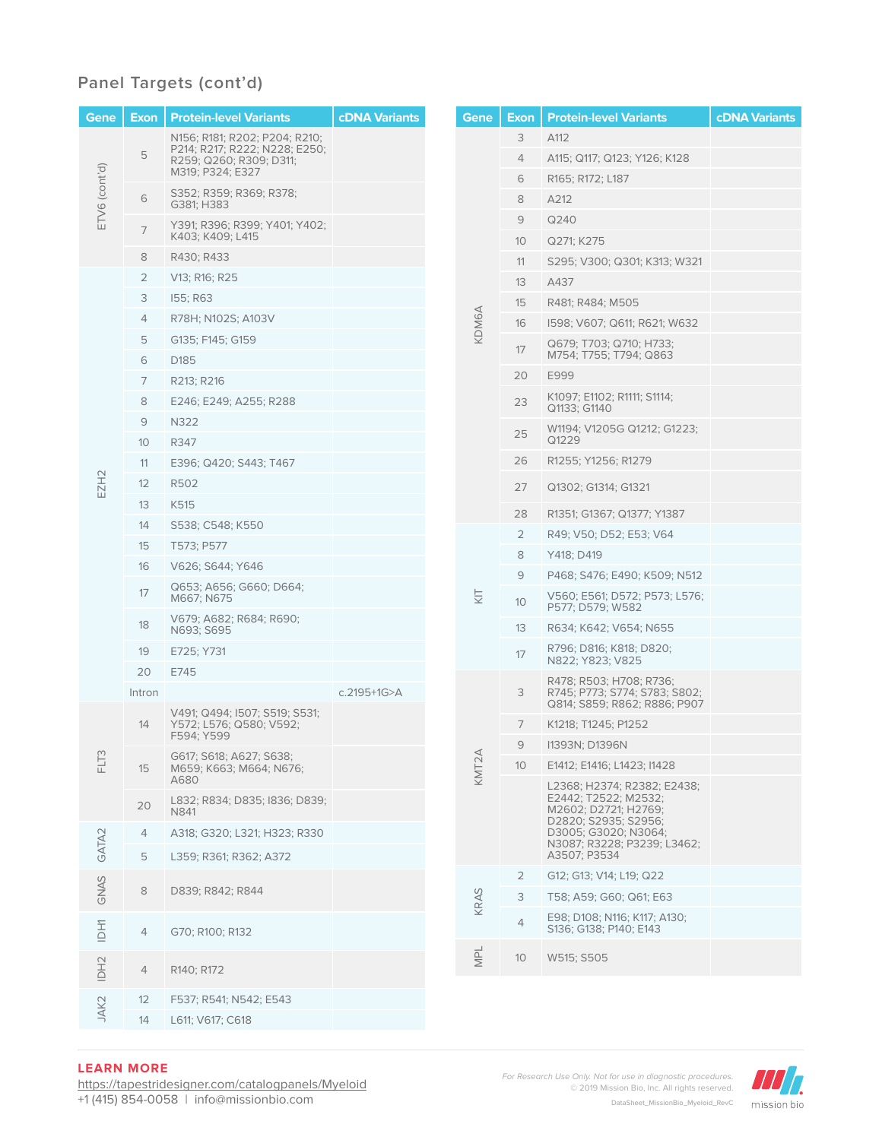#### **Panel Targets (cont'd)**

| Gene              | Exon l          | <b>Protein-level Variants</b>                            | <b>cDNA Variants</b> |                  | Gene    | <b>Exon</b>             | <b>Protein-level Variants</b>                                        | <b>cDNA Variants</b> |
|-------------------|-----------------|----------------------------------------------------------|----------------------|------------------|---------|-------------------------|----------------------------------------------------------------------|----------------------|
|                   |                 | N156; R181; R202; P204; R210;                            |                      |                  |         | 3                       | A112                                                                 |                      |
|                   | 5               | P214; R217; R222; N228; E250;<br>R259; Q260; R309; D311; |                      |                  |         | 4                       | A115; Q117; Q123; Y126; K128                                         |                      |
|                   |                 | M319; P324; E327                                         |                      |                  |         | 6                       | R165; R172; L187                                                     |                      |
| ETV6 (cont'd)     | 6               | S352; R359; R369; R378;<br>G381: H383                    |                      |                  |         | 8                       | A212                                                                 |                      |
|                   |                 | Y391; R396; R399; Y401; Y402;                            |                      |                  |         | 9                       | Q240                                                                 |                      |
|                   | $\overline{7}$  | K403; K409; L415                                         |                      |                  |         | 10                      | Q271; K275                                                           |                      |
|                   | 8               | R430; R433                                               |                      |                  |         | 11                      | S295; V300; Q301; K313; W321                                         |                      |
|                   | $\overline{2}$  | V13; R16; R25                                            |                      |                  |         | 13                      | A437                                                                 |                      |
|                   | 3               | 155; R63                                                 |                      |                  |         | 15                      | R481; R484; M505                                                     |                      |
|                   | 4               | R78H; N102S; A103V                                       | KDM6A                |                  |         | 16                      | 1598; V607; Q611; R621; W632                                         |                      |
|                   | 5               | G135; F145; G159                                         |                      |                  | 17      | Q679; T703; Q710; H733; |                                                                      |                      |
|                   | 6               | D185                                                     |                      |                  |         | M754; T755; T794; Q863  |                                                                      |                      |
|                   | 7               | R213; R216                                               |                      |                  |         | 20                      | E999                                                                 |                      |
|                   | 8               | E246; E249; A255; R288                                   |                      |                  |         | 23                      | K1097; E1102; R1111; S1114;<br>Q1133; G1140                          |                      |
|                   | 9               | N322                                                     |                      |                  |         | 25                      | W1194; V1205G Q1212; G1223;                                          |                      |
|                   | 10 <sup>°</sup> | R347                                                     |                      |                  |         |                         | Q1229                                                                |                      |
|                   | 11              | E396; Q420; S443; T467                                   |                      |                  |         | 26                      | R1255; Y1256; R1279                                                  |                      |
| EZH2              | 12              | R502                                                     |                      |                  |         |                         | Q1302; G1314; G1321                                                  |                      |
|                   | 13              | K515                                                     |                      |                  |         | 28                      | R1351; G1367; Q1377; Y1387                                           |                      |
|                   | 14              | S538; C548; K550                                         |                      |                  | ĶΓ      | $\overline{2}$          | R49; V50; D52; E53; V64                                              |                      |
|                   | 15              | T573; P577                                               |                      |                  |         | 8                       | Y418; D419                                                           |                      |
|                   | 16              | V626; S644; Y646                                         |                      |                  |         | 9                       | P468; S476; E490; K509; N512                                         |                      |
|                   | 17              | Q653; A656; G660; D664;<br>M667; N675                    |                      |                  |         | 10 <sup>°</sup>         | V560; E561; D572; P573; L576;<br>P577; D579; W582                    |                      |
|                   | 18              | V679; A682; R684; R690;<br>N693; S695                    |                      |                  |         | 13                      | R634; K642; V654; N655                                               |                      |
|                   | 19              | E725; Y731                                               |                      |                  |         | 17                      | R796; D816; K818; D820;<br>N822; Y823; V825                          |                      |
|                   | 20              | E745                                                     |                      |                  |         |                         | R478; R503; H708; R736;                                              |                      |
|                   | Intron          | V491; Q494; I507; S519; S531;                            | c.2195+1G>A          |                  |         | 3                       | R745; P773; S774; S783; S802;<br>Q814; S859; R862; R886; P907        |                      |
|                   | 14              | Y572; L576; Q580; V592;<br>F594; Y599                    |                      |                  |         | 7                       | K1218; T1245; P1252                                                  |                      |
| ω                 |                 | G617; S618; A627; S638;                                  |                      |                  | $\prec$ |                         | 11393N; D1396N                                                       |                      |
| 근도                | 15              | M659; K663; M664; N676;<br>A680                          |                      | KMT <sub>2</sub> |         | 10 <sup>°</sup>         | E1412; E1416; L1423; I1428<br>L2368; H2374; R2382; E2438;            |                      |
|                   | 20              | L832; R834; D835; I836; D839;<br>N841                    |                      |                  |         |                         | E2442; T2522; M2532;<br>M2602; D2721; H2769;<br>D2820; S2935; S2956; |                      |
|                   | 4               | A318; G320; L321; H323; R330                             |                      |                  |         |                         | D3005: G3020: N3064:                                                 |                      |
| GATA <sub>2</sub> | 5               | L359; R361; R362; A372                                   |                      |                  |         |                         | N3087; R3228; P3239; L3462;<br>A3507; P3534                          |                      |
|                   |                 |                                                          |                      |                  |         | $\overline{2}$          | G12; G13; V14; L19; Q22                                              |                      |
| GNAS              | 8               | D839; R842; R844                                         |                      |                  | KRAS    | 3                       | T58; A59; G60; Q61; E63                                              |                      |
| <b>IDH1</b>       | 4               | G70; R100; R132                                          |                      |                  |         | 4                       | E98; D108; N116; K117; A130;<br>S136; G138; P140; E143               |                      |
| IDH <sub>2</sub>  | 4               | R140; R172                                               |                      |                  | NPL     | 10 <sup>°</sup>         | W515; S505                                                           |                      |
|                   | 12              |                                                          |                      |                  |         |                         |                                                                      |                      |
| JAK2              | 14              | F537; R541; N542; E543<br>L611; V617; C618               |                      |                  |         |                         |                                                                      |                      |
|                   |                 |                                                          |                      |                  |         |                         |                                                                      |                      |

**LEARN MORE**

https://tapestridesigner.com/catalogpanels/Myeloid +1 (415) 854-0058 | info@missionbio.com

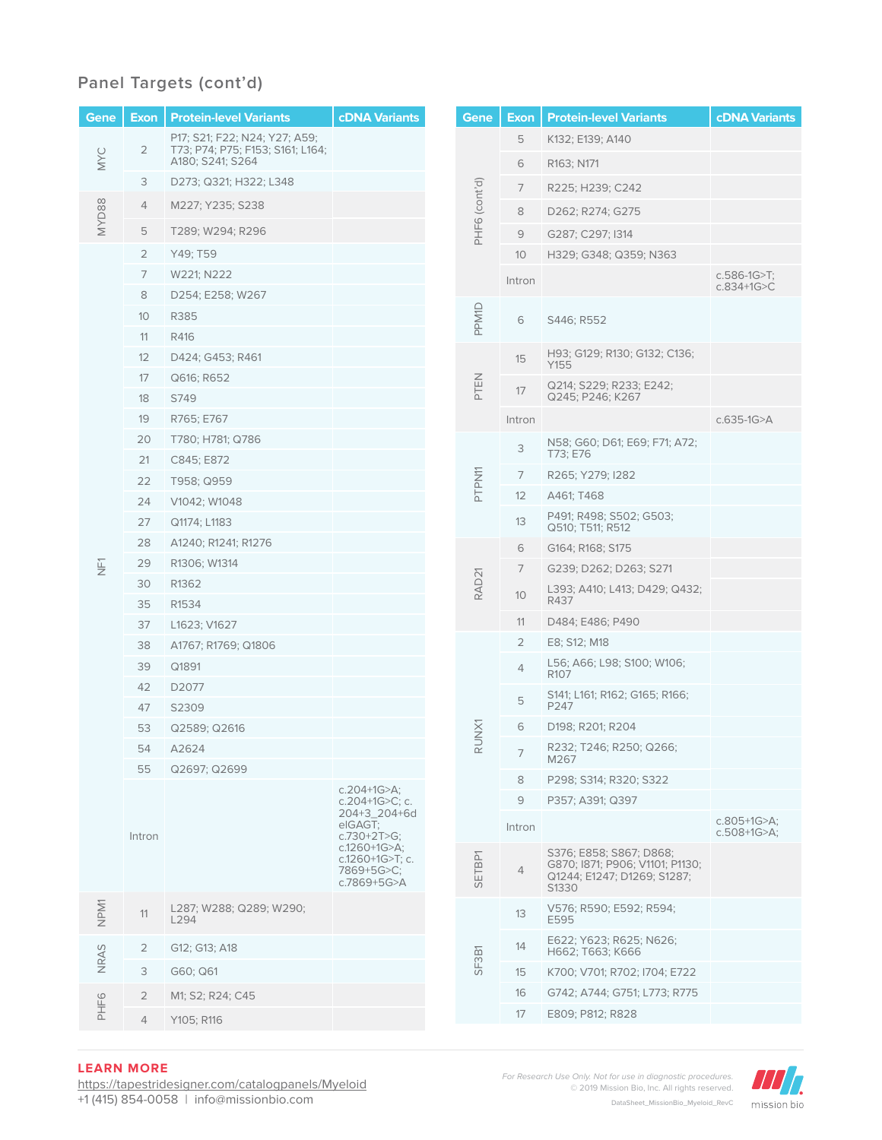### **Panel Targets (cont'd)**

| Gene          | <b>Exon</b>    | <b>Protein-level Variants</b>                                     | <b>cDNA Variants</b>                                         |       | Gene              | <b>Exon</b>    | <b>Protein-level Variants</b>                                                                      | <b>cDNA Variants</b>                |
|---------------|----------------|-------------------------------------------------------------------|--------------------------------------------------------------|-------|-------------------|----------------|----------------------------------------------------------------------------------------------------|-------------------------------------|
|               | $\overline{2}$ | P17; S21; F22; N24; Y27; A59;<br>T73; P74; P75; F153; S161; L164; |                                                              |       | 5                 |                | K132; E139; A140                                                                                   |                                     |
| MYC           |                | A180; S241; S264                                                  |                                                              |       |                   | 6              | R163; N171                                                                                         |                                     |
|               | 3              | D273; Q321; H322; L348                                            |                                                              |       |                   | 7              | R225; H239; C242                                                                                   |                                     |
| <b>MYD88</b>  | 4              | M227; Y235; S238                                                  |                                                              |       |                   | 8              | D262; R274; G275                                                                                   |                                     |
|               | 5              | T289; W294; R296                                                  |                                                              |       | PHF6 (cont'd)     | 9              | G287; C297; I314                                                                                   |                                     |
|               | $\overline{2}$ | Y49; T59                                                          |                                                              |       |                   | 10             | H329; G348; Q359; N363                                                                             |                                     |
|               | 7              | W221; N222                                                        |                                                              |       |                   | Intron         |                                                                                                    | $c.586-1G>T;$                       |
|               | 8              | D254; E258; W267                                                  |                                                              |       |                   |                |                                                                                                    | $c.834 + 1G > C$                    |
|               | 10             | R385                                                              |                                                              |       | PPM1D             | 6              | S446; R552                                                                                         |                                     |
|               | 11             | R416                                                              |                                                              |       |                   |                |                                                                                                    |                                     |
|               | 12             | D424; G453; R461                                                  |                                                              |       |                   | 15             | H93; G129; R130; G132; C136;<br>Y155                                                               |                                     |
|               | 17             | Q616; R652                                                        |                                                              |       | PTEN              | 17             | Q214; S229; R233; E242;                                                                            |                                     |
|               | 18             | S749                                                              |                                                              |       |                   |                | Q245; P246; K267                                                                                   |                                     |
|               | 19             | R765; E767                                                        |                                                              |       |                   | Intron         |                                                                                                    | c.635-1G>A                          |
|               | 20<br>21       | T780; H781; Q786<br>C845; E872                                    |                                                              |       |                   | 3              | N58; G60; D61; E69; F71; A72;<br>T73; E76                                                          |                                     |
|               | 22             | T958; Q959                                                        |                                                              |       | PTPN11            | 7              | R265; Y279; I282                                                                                   |                                     |
|               | 24             | V1042; W1048                                                      |                                                              |       |                   | 12             | A461; T468                                                                                         |                                     |
|               | 27             | Q1174; L1183                                                      |                                                              |       |                   | 13             | P491; R498; S502; G503;<br>Q510; T511; R512                                                        |                                     |
|               | 28             | A1240; R1241; R1276                                               |                                                              |       |                   | 6              | G164; R168; S175                                                                                   |                                     |
| $\frac{1}{2}$ | 29             | R1306; W1314                                                      |                                                              |       | RAD <sub>21</sub> | 7              | G239; D262; D263; S271                                                                             |                                     |
|               | 30             | R1362                                                             |                                                              |       |                   | 10             | L393; A410; L413; D429; Q432;                                                                      |                                     |
|               | 35             | R1534                                                             |                                                              |       |                   |                | R437                                                                                               |                                     |
|               | 37             | L1623; V1627                                                      |                                                              |       |                   | 11             | D484; E486; P490                                                                                   |                                     |
|               | 38             | A1767; R1769; Q1806                                               |                                                              |       |                   | $\overline{2}$ | E8; S12; M18                                                                                       |                                     |
|               | 39             | Q1891                                                             |                                                              |       |                   | $\overline{4}$ | L56; A66; L98; S100; W106;<br>R <sub>107</sub>                                                     |                                     |
|               | 42<br>47       | D <sub>2077</sub><br>S2309                                        |                                                              |       |                   | $\mathbf 5$    | S141; L161; R162; G165; R166;<br>P247                                                              |                                     |
|               | 53             | Q2589; Q2616                                                      |                                                              |       |                   | 6              | D198; R201; R204                                                                                   |                                     |
|               | 54             | A2624                                                             |                                                              |       | RUNX1             |                | R232; T246; R250; Q266;                                                                            |                                     |
|               | 55             | Q2697; Q2699                                                      |                                                              |       |                   | $\overline{7}$ | M267                                                                                               |                                     |
|               |                |                                                                   | $c.204 + 1G > A$ ;                                           |       |                   | 8              | P298; S314; R320; S322                                                                             |                                     |
|               |                |                                                                   | c.204+1G>C; c.<br>204+3_204+6d<br>elGAGT:<br>$c.730+2T>G;$   |       |                   | 9              | P357; A391; Q397                                                                                   |                                     |
|               | Intron         |                                                                   |                                                              |       |                   | Intron         |                                                                                                    | c.805+1G $>$ A;<br>$c.508+1G > A$ ; |
|               |                |                                                                   | c.1260+1G>A;<br>c.1260+1G>T; c.<br>7869+5G>C;<br>c.7869+5G>A |       | SETBP1            | $\overline{4}$ | S376; E858; S867; D868;<br>G870; I871; P906; V1101; P1130;<br>Q1244; E1247; D1269; S1287;<br>S1330 |                                     |
| NPM1          | 11             | L287; W288; Q289; W290;<br>L294                                   |                                                              |       |                   | 13             | V576; R590; E592; R594;<br>E595                                                                    |                                     |
|               | 2              | G12; G13; A18                                                     |                                                              |       |                   | 14             | E622; Y623; R625; N626;<br>H662; T663; K666                                                        |                                     |
| NRAS          | 3              | G60; Q61                                                          |                                                              | SF3B1 |                   | 15             | K700; V701; R702; I704; E722                                                                       |                                     |
|               | $\overline{2}$ | M1; S2; R24; C45                                                  |                                                              |       |                   | 16             | G742; A744; G751; L773; R775                                                                       |                                     |
| PHF6          | $\overline{4}$ |                                                                   |                                                              |       |                   | 17             | E809; P812; R828                                                                                   |                                     |
|               |                | Y105; R116                                                        |                                                              |       |                   |                |                                                                                                    |                                     |

#### **LEARN MORE**

https://tapestridesigner.com/catalogpanels/Myeloid +1 (415) 854-0058 | info@missionbio.com

*For Research Use Only. Not for use in diagnostic procedures.* © 2019 Mission Bio, Inc. All rights reserved. DataSheet\_MissionBio\_Myeloid\_RevC